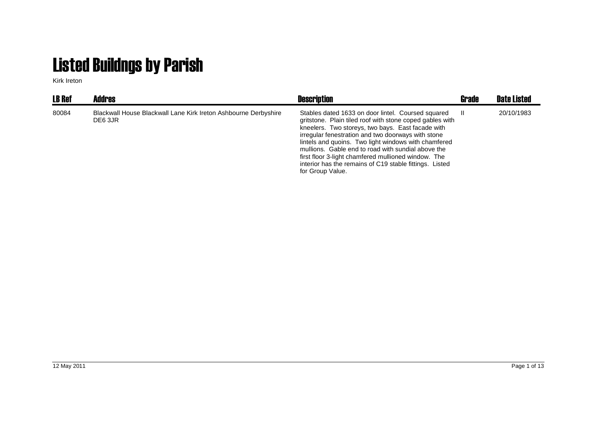## Listed Buildngs by Parish

Kirk Ireton

| <b>LB Ref</b> | <b>Addres</b>                                                              | <b>Description</b>                                                                                                                                                                                                                                                                                                                                                                                                                                                            | <b>Grade</b> | <b>Date Listed</b> |
|---------------|----------------------------------------------------------------------------|-------------------------------------------------------------------------------------------------------------------------------------------------------------------------------------------------------------------------------------------------------------------------------------------------------------------------------------------------------------------------------------------------------------------------------------------------------------------------------|--------------|--------------------|
| 80084         | Blackwall House Blackwall Lane Kirk Ireton Ashbourne Derbyshire<br>DE6 3JR | Stables dated 1633 on door lintel. Coursed squared<br>gritstone. Plain tiled roof with stone coped gables with<br>kneelers. Two storeys, two bays. East facade with<br>irregular fenestration and two doorways with stone<br>lintels and quoins. Two light windows with chamfered<br>mullions. Gable end to road with sundial above the<br>first floor 3-light chamfered mullioned window. The<br>interior has the remains of C19 stable fittings. Listed<br>for Group Value. |              | 20/10/1983         |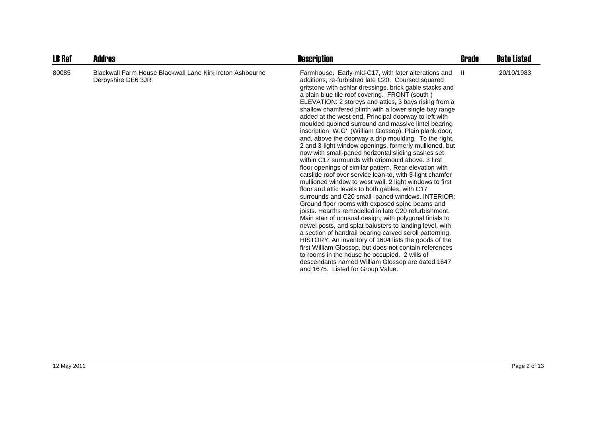| <b>LB Ref</b> | <b>Addres</b>                                                                   | <b>Description</b>                                                                                                                                                                                                                                                                                                                                                                                                                                                                                                                                                                                                                                                                                                                                                                                                                                                                                                                                                                                                                                                                                                                                                                                                                                                                                                                                                                                                                                                                                                                                                                                  | Grade | <b>Date Listed</b> |
|---------------|---------------------------------------------------------------------------------|-----------------------------------------------------------------------------------------------------------------------------------------------------------------------------------------------------------------------------------------------------------------------------------------------------------------------------------------------------------------------------------------------------------------------------------------------------------------------------------------------------------------------------------------------------------------------------------------------------------------------------------------------------------------------------------------------------------------------------------------------------------------------------------------------------------------------------------------------------------------------------------------------------------------------------------------------------------------------------------------------------------------------------------------------------------------------------------------------------------------------------------------------------------------------------------------------------------------------------------------------------------------------------------------------------------------------------------------------------------------------------------------------------------------------------------------------------------------------------------------------------------------------------------------------------------------------------------------------------|-------|--------------------|
| 80085         | Blackwall Farm House Blackwall Lane Kirk Ireton Ashbourne<br>Derbyshire DE6 3JR | Farmhouse. Early-mid-C17, with later alterations and<br>additions, re-furbished late C20. Coursed squared<br>gritstone with ashlar dressings, brick gable stacks and<br>a plain blue tile roof covering. FRONT (south)<br>ELEVATION: 2 storeys and attics, 3 bays rising from a<br>shallow chamfered plinth with a lower single bay range<br>added at the west end. Principal doorway to left with<br>moulded quoined surround and massive lintel bearing<br>inscription W.G' (William Glossop). Plain plank door,<br>and, above the doorway a drip moulding. To the right,<br>2 and 3-light window openings, formerly mullioned, but<br>now with small-paned horizontal sliding sashes set<br>within C17 surrounds with dripmould above. 3 first<br>floor openings of similar pattern. Rear elevation with<br>catslide roof over service lean-to, with 3-light chamfer<br>mullioned window to west wall. 2 light windows to first<br>floor and attic levels to both gables, with C17<br>surrounds and C20 small -paned windows. INTERIOR:<br>Ground floor rooms with exposed spine beams and<br>joists. Hearths remodelled in late C20 refurbishment.<br>Main stair of unusual design, with polygonal finials to<br>newel posts, and splat balusters to landing level, with<br>a section of handrail bearing carved scroll patterning.<br>HISTORY: An inventory of 1604 lists the goods of the<br>first William Glossop, but does not contain references<br>to rooms in the house he occupied. 2 wills of<br>descendants named William Glossop are dated 1647<br>and 1675. Listed for Group Value. | H.    | 20/10/1983         |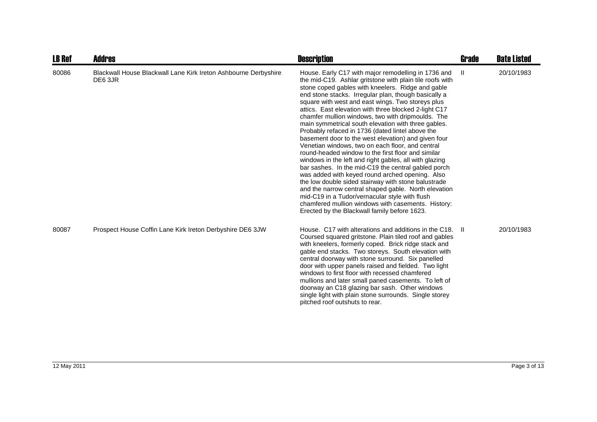| <b>LB Ref</b> | <b>Addres</b>                                                              | <b>Description</b>                                                                                                                                                                                                                                                                                                                                                                                                                                                                                                                                                                                                                                                                                                                                                                                                                                                                                                                                                                                                                                                                                                     | Grade | <b>Date Listed</b> |
|---------------|----------------------------------------------------------------------------|------------------------------------------------------------------------------------------------------------------------------------------------------------------------------------------------------------------------------------------------------------------------------------------------------------------------------------------------------------------------------------------------------------------------------------------------------------------------------------------------------------------------------------------------------------------------------------------------------------------------------------------------------------------------------------------------------------------------------------------------------------------------------------------------------------------------------------------------------------------------------------------------------------------------------------------------------------------------------------------------------------------------------------------------------------------------------------------------------------------------|-------|--------------------|
| 80086         | Blackwall House Blackwall Lane Kirk Ireton Ashbourne Derbyshire<br>DE6 3JR | House. Early C17 with major remodelling in 1736 and<br>the mid-C19. Ashlar gritstone with plain tile roofs with<br>stone coped gables with kneelers. Ridge and gable<br>end stone stacks. Irregular plan, though basically a<br>square with west and east wings. Two storeys plus<br>attics. East elevation with three blocked 2-light C17<br>chamfer mullion windows, two with dripmoulds. The<br>main symmetrical south elevation with three gables.<br>Probably refaced in 1736 (dated lintel above the<br>basement door to the west elevation) and given four<br>Venetian windows, two on each floor, and central<br>round-headed window to the first floor and similar<br>windows in the left and right gables, all with glazing<br>bar sashes. In the mid-C19 the central gabled porch<br>was added with keyed round arched opening. Also<br>the low double sided stairway with stone balustrade<br>and the narrow central shaped gable. North elevation<br>mid-C19 in a Tudor/vernacular style with flush<br>chamfered mullion windows with casements. History:<br>Erected by the Blackwall family before 1623. | Ш     | 20/10/1983         |
| 80087         | Prospect House Coffin Lane Kirk Ireton Derbyshire DE6 3JW                  | House. C17 with alterations and additions in the C18.<br>Coursed squared gritstone. Plain tiled roof and gables<br>with kneelers, formerly coped. Brick ridge stack and<br>gable end stacks. Two storeys. South elevation with<br>central doorway with stone surround. Six panelled<br>door with upper panels raised and fielded. Two light<br>windows to first floor with recessed chamfered<br>mullions and later small paned casements. To left of<br>doorway an C18 glazing bar sash. Other windows<br>single light with plain stone surrounds. Single storey<br>pitched roof outshuts to rear.                                                                                                                                                                                                                                                                                                                                                                                                                                                                                                                    | - 11  | 20/10/1983         |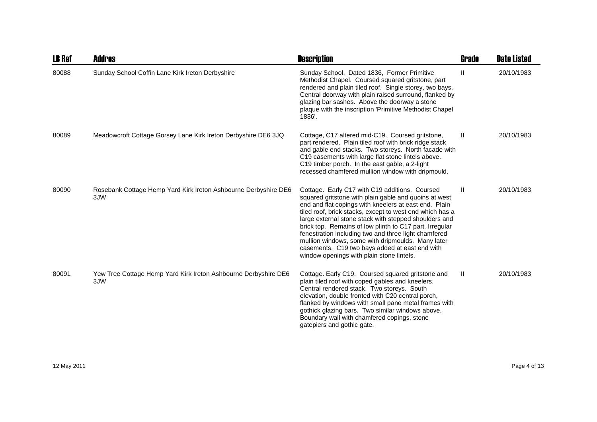| <b>LB Ref</b> | <b>Addres</b>                                                          | <b>Description</b>                                                                                                                                                                                                                                                                                                                                                                                                                                                                                                                                           | Grade        | <b>Date Listed</b> |
|---------------|------------------------------------------------------------------------|--------------------------------------------------------------------------------------------------------------------------------------------------------------------------------------------------------------------------------------------------------------------------------------------------------------------------------------------------------------------------------------------------------------------------------------------------------------------------------------------------------------------------------------------------------------|--------------|--------------------|
| 80088         | Sunday School Coffin Lane Kirk Ireton Derbyshire                       | Sunday School. Dated 1836, Former Primitive<br>Methodist Chapel. Coursed squared gritstone, part<br>rendered and plain tiled roof. Single storey, two bays.<br>Central doorway with plain raised surround, flanked by<br>glazing bar sashes. Above the doorway a stone<br>plaque with the inscription 'Primitive Methodist Chapel<br>1836'.                                                                                                                                                                                                                  | Ш            | 20/10/1983         |
| 80089         | Meadowcroft Cottage Gorsey Lane Kirk Ireton Derbyshire DE6 3JQ         | Cottage, C17 altered mid-C19. Coursed gritstone,<br>part rendered. Plain tiled roof with brick ridge stack<br>and gable end stacks. Two storeys. North facade with<br>C19 casements with large flat stone lintels above.<br>C19 timber porch. In the east gable, a 2-light<br>recessed chamfered mullion window with dripmould.                                                                                                                                                                                                                              | Ш            | 20/10/1983         |
| 80090         | Rosebank Cottage Hemp Yard Kirk Ireton Ashbourne Derbyshire DE6<br>3JW | Cottage. Early C17 with C19 additions. Coursed<br>squared gritstone with plain gable and quoins at west<br>end and flat copings with kneelers at east end. Plain<br>tiled roof, brick stacks, except to west end which has a<br>large external stone stack with stepped shoulders and<br>brick top. Remains of low plinth to C17 part. Irregular<br>fenestration including two and three light chamfered<br>mullion windows, some with dripmoulds. Many later<br>casements. C19 two bays added at east end with<br>window openings with plain stone lintels. | H.           | 20/10/1983         |
| 80091         | Yew Tree Cottage Hemp Yard Kirk Ireton Ashbourne Derbyshire DE6<br>3JW | Cottage. Early C19. Coursed squared gritstone and<br>plain tiled roof with coped gables and kneelers.<br>Central rendered stack. Two storeys. South<br>elevation, double fronted with C20 central porch,<br>flanked by windows with small pane metal frames with<br>gothick glazing bars. Two similar windows above.<br>Boundary wall with chamfered copings, stone<br>gatepiers and gothic gate.                                                                                                                                                            | $\mathbf{H}$ | 20/10/1983         |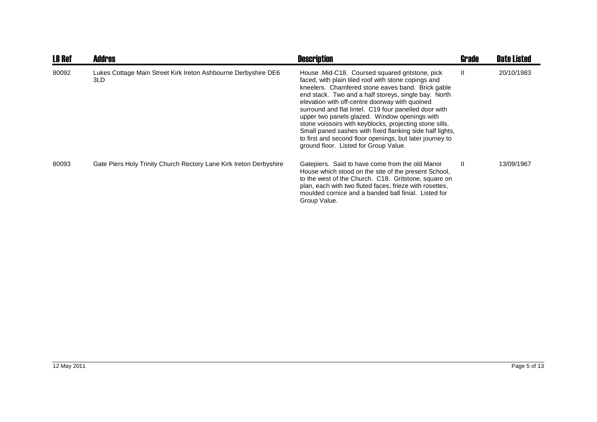| <b>LB Ref</b> | <b>Addres</b>                                                         | <b>Description</b>                                                                                                                                                                                                                                                                                                                                                                                                                                                                                                                                                                                          | <b>Grade</b> | <b>Date Listed</b> |
|---------------|-----------------------------------------------------------------------|-------------------------------------------------------------------------------------------------------------------------------------------------------------------------------------------------------------------------------------------------------------------------------------------------------------------------------------------------------------------------------------------------------------------------------------------------------------------------------------------------------------------------------------------------------------------------------------------------------------|--------------|--------------------|
| 80092         | Lukes Cottage Main Street Kirk Ireton Ashbourne Derbyshire DE6<br>3LD | House .Mid-C18. Coursed squared gritstone, pick<br>faced, with plain tiled roof with stone copings and<br>kneelers. Chamfered stone eaves band. Brick gable<br>end stack. Two and a half storeys, single bay. North<br>elevation with off-centre doorway with quoined<br>surround and flat lintel. C19 four panelled door with<br>upper two panels glazed. Window openings with<br>stone voissoirs with keyblocks, projecting stone sills.<br>Small paned sashes with fixed flanking side half lights,<br>to first and second floor openings, but later journey to<br>ground floor. Listed for Group Value. | $\mathbf{I}$ | 20/10/1983         |
| 80093         | Gate Piers Holy Trinity Church Rectory Lane Kirk Ireton Derbyshire    | Gatepiers. Said to have come from the old Manor<br>House which stood on the site of the present School,<br>to the west of the Church. C18. Gritstone, square on<br>plan, each with two fluted faces, frieze with rosettes,<br>moulded cornice and a banded ball finial. Listed for<br>Group Value.                                                                                                                                                                                                                                                                                                          | Ш            | 13/09/1967         |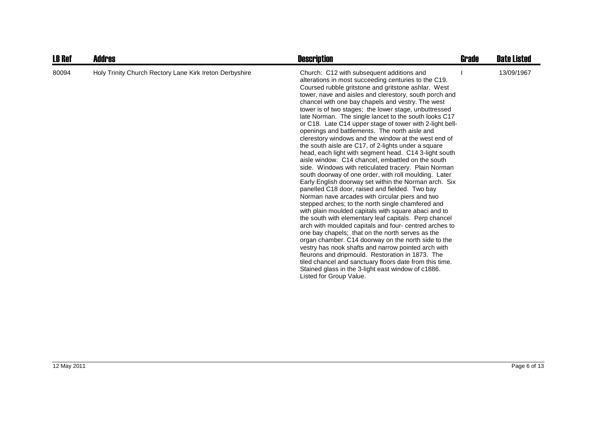| <b>LB Ref</b> | Addres                                                  | <b>Description</b>                                                                                                                                                                                                                                                                                                                                                                                                                                                                                                                                                                                                                                                                                                                                                                                                                                                                                                                                                                                                                                                                                                                                                                                                                                                                                                                                                                                                                                                                                                                                                                                                   | Grade | <b>Date Listed</b> |
|---------------|---------------------------------------------------------|----------------------------------------------------------------------------------------------------------------------------------------------------------------------------------------------------------------------------------------------------------------------------------------------------------------------------------------------------------------------------------------------------------------------------------------------------------------------------------------------------------------------------------------------------------------------------------------------------------------------------------------------------------------------------------------------------------------------------------------------------------------------------------------------------------------------------------------------------------------------------------------------------------------------------------------------------------------------------------------------------------------------------------------------------------------------------------------------------------------------------------------------------------------------------------------------------------------------------------------------------------------------------------------------------------------------------------------------------------------------------------------------------------------------------------------------------------------------------------------------------------------------------------------------------------------------------------------------------------------------|-------|--------------------|
| 80094         | Holy Trinity Church Rectory Lane Kirk Ireton Derbyshire | Church: C12 with subsequent additions and<br>alterations in most succeeding centuries to the C19.<br>Coursed rubble gritstone and gritstone ashlar. West<br>tower, nave and aisles and clerestory, south porch and<br>chancel with one bay chapels and vestry. The west<br>tower is of two stages; the lower stage, unbuttressed<br>late Norman. The single lancet to the south looks C17<br>or C18. Late C14 upper stage of tower with 2-light bell-<br>openings and battlements. The north aisle and<br>clerestory windows and the window at the west end of<br>the south aisle are C17, of 2-lights under a square<br>head, each light with segment head. C14 3-light south<br>aisle window. C14 chancel, embattled on the south<br>side. Windows with reticulated tracery. Plain Norman<br>south doorway of one order, with roll moulding. Later<br>Early English doorway set within the Norman arch. Six<br>panelled C18 door, raised and fielded. Two bay<br>Norman nave arcades with circular piers and two<br>stepped arches; to the north single chamfered and<br>with plain moulded capitals with square abaci and to<br>the south with elementary leaf capitals. Perp chancel<br>arch with moulded capitals and four- centred arches to<br>one bay chapels; that on the north serves as the<br>organ chamber. C14 doorway on the north side to the<br>vestry has nook shafts and narrow pointed arch with<br>fleurons and dripmould. Restoration in 1873. The<br>tiled chancel and sanctuary floors date from this time.<br>Stained glass in the 3-light east window of c1886.<br>Listed for Group Value. |       | 13/09/1967         |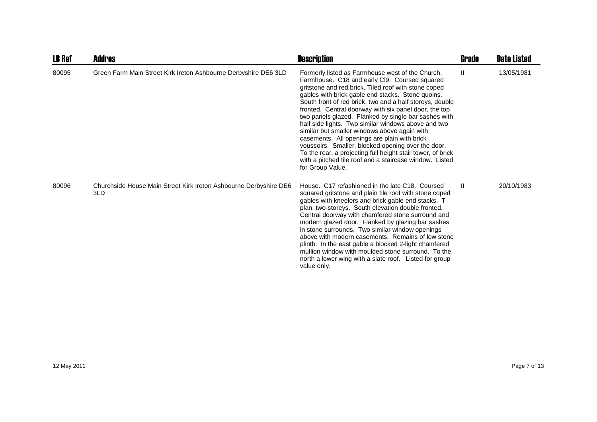| <b>LB Ref</b> | <b>Addres</b>                                                            | <b>Description</b>                                                                                                                                                                                                                                                                                                                                                                                                                                                                                                                                                                                                                                                                                                                                     | Grade | <b>Date Listed</b> |
|---------------|--------------------------------------------------------------------------|--------------------------------------------------------------------------------------------------------------------------------------------------------------------------------------------------------------------------------------------------------------------------------------------------------------------------------------------------------------------------------------------------------------------------------------------------------------------------------------------------------------------------------------------------------------------------------------------------------------------------------------------------------------------------------------------------------------------------------------------------------|-------|--------------------|
| 80095         | Green Farm Main Street Kirk Ireton Ashbourne Derbyshire DE6 3LD          | Formerly listed as Farmhouse west of the Church.<br>Farmhouse. C18 and early Cl9. Coursed squared<br>gritstone and red brick. Tiled roof with stone coped<br>gables with brick gable end stacks. Stone quoins.<br>South front of red brick, two and a half storeys, double<br>fronted. Central doorway with six panel door, the top<br>two panels glazed. Flanked by single bar sashes with<br>half side lights. Two similar windows above and two<br>similar but smaller windows above again with<br>casements. All openings are plain with brick<br>voussoirs. Smaller, blocked opening over the door.<br>To the rear, a projecting full height stair tower, of brick<br>with a pitched tile roof and a staircase window. Listed<br>for Group Value. | Ш     | 13/05/1981         |
| 80096         | Churchside House Main Street Kirk Ireton Ashbourne Derbyshire DE6<br>3LD | House, C17 refashioned in the late C18. Coursed<br>squared gritstone and plain tile roof with stone coped<br>gables with kneelers and brick gable end stacks. T-<br>plan, two-storeys. South elevation double fronted.<br>Central doorway with chamfered stone surround and<br>modern glazed door. Flanked by glazing bar sashes<br>in stone surrounds. Two similar window openings<br>above with modern casements. Remains of low stone<br>plinth. In the east gable a blocked 2-light chamfered<br>mullion window with moulded stone surround. To the<br>north a lower wing with a slate roof. Listed for group<br>value only.                                                                                                                       | Ш     | 20/10/1983         |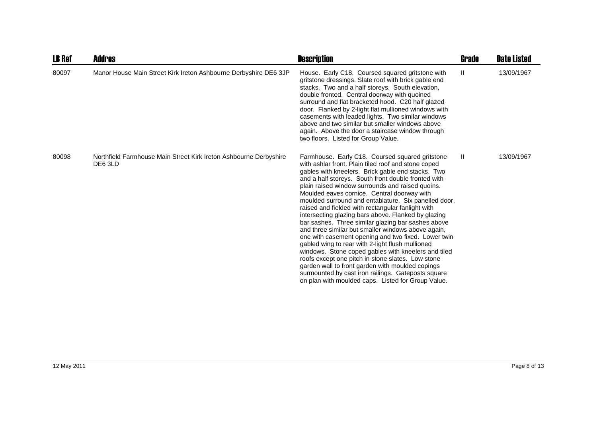| <b>LB Ref</b> | <b>Addres</b>                                                                | <b>Description</b>                                                                                                                                                                                                                                                                                                                                                                                                                                                                                                                                                                                                                                                                                                                                                                                                                                                                                                                                                                           | Grade         | <b>Date Listed</b> |
|---------------|------------------------------------------------------------------------------|----------------------------------------------------------------------------------------------------------------------------------------------------------------------------------------------------------------------------------------------------------------------------------------------------------------------------------------------------------------------------------------------------------------------------------------------------------------------------------------------------------------------------------------------------------------------------------------------------------------------------------------------------------------------------------------------------------------------------------------------------------------------------------------------------------------------------------------------------------------------------------------------------------------------------------------------------------------------------------------------|---------------|--------------------|
| 80097         | Manor House Main Street Kirk Ireton Ashbourne Derbyshire DE6 3JP             | House. Early C18. Coursed squared gritstone with<br>gritstone dressings. Slate roof with brick gable end<br>stacks. Two and a half storeys. South elevation,<br>double fronted. Central doorway with quoined<br>surround and flat bracketed hood. C20 half glazed<br>door. Flanked by 2-light flat mullioned windows with<br>casements with leaded lights. Two similar windows<br>above and two similar but smaller windows above<br>again. Above the door a staircase window through<br>two floors. Listed for Group Value.                                                                                                                                                                                                                                                                                                                                                                                                                                                                 | $\mathbf{II}$ | 13/09/1967         |
| 80098         | Northfield Farmhouse Main Street Kirk Ireton Ashbourne Derbyshire<br>DE6 3LD | Farmhouse. Early C18. Coursed squared gritstone<br>with ashlar front. Plain tiled roof and stone coped<br>gables with kneelers. Brick gable end stacks. Two<br>and a half storeys. South front double fronted with<br>plain raised window surrounds and raised quoins.<br>Moulded eaves cornice. Central doorway with<br>moulded surround and entablature. Six panelled door,<br>raised and fielded with rectangular fanlight with<br>intersecting glazing bars above. Flanked by glazing<br>bar sashes. Three similar glazing bar sashes above<br>and three similar but smaller windows above again,<br>one with casement opening and two fixed. Lower twin<br>gabled wing to rear with 2-light flush mullioned<br>windows. Stone coped gables with kneelers and tiled<br>roofs except one pitch in stone slates. Low stone<br>garden wall to front garden with moulded copings<br>surmounted by cast iron railings. Gateposts square<br>on plan with moulded caps. Listed for Group Value. | Ш             | 13/09/1967         |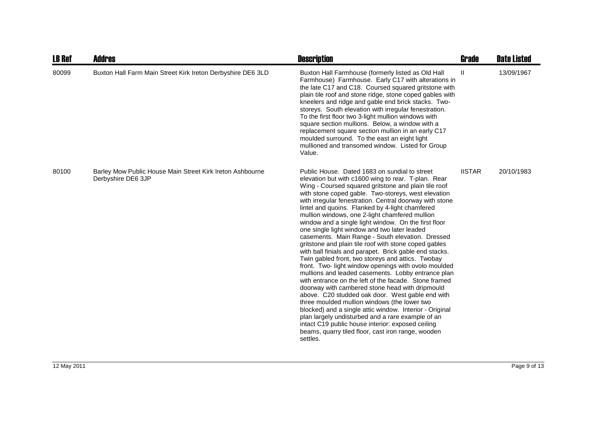| <b>LB Ref</b> | <b>Addres</b>                                                                   | <b>Description</b>                                                                                                                                                                                                                                                                                                                                                                                                                                                                                                                                                                                                                                                                                                                                                                                                                                                                                                                                                                                                                                                                                                                                                                                                                                                                           | <b>Grade</b>  | <b>Date Listed</b> |
|---------------|---------------------------------------------------------------------------------|----------------------------------------------------------------------------------------------------------------------------------------------------------------------------------------------------------------------------------------------------------------------------------------------------------------------------------------------------------------------------------------------------------------------------------------------------------------------------------------------------------------------------------------------------------------------------------------------------------------------------------------------------------------------------------------------------------------------------------------------------------------------------------------------------------------------------------------------------------------------------------------------------------------------------------------------------------------------------------------------------------------------------------------------------------------------------------------------------------------------------------------------------------------------------------------------------------------------------------------------------------------------------------------------|---------------|--------------------|
| 80099         | Buxton Hall Farm Main Street Kirk Ireton Derbyshire DE6 3LD                     | Buxton Hall Farmhouse (formerly listed as Old Hall<br>Farmhouse) Farmhouse. Early C17 with alterations in<br>the late C17 and C18. Coursed squared gritstone with<br>plain tile roof and stone ridge, stone coped gables with<br>kneelers and ridge and gable end brick stacks. Two-<br>storeys. South elevation with irregular fenestration.<br>To the first floor two 3-light mullion windows with<br>square section mullions. Below, a window with a<br>replacement square section mullion in an early C17<br>moulded surround. To the east an eight light<br>mullioned and transomed window. Listed for Group<br>Value.                                                                                                                                                                                                                                                                                                                                                                                                                                                                                                                                                                                                                                                                  | Ш             | 13/09/1967         |
| 80100         | Barley Mow Public House Main Street Kirk Ireton Ashbourne<br>Derbyshire DE6 3JP | Public House. Dated 1683 on sundial to street<br>elevation but with c1600 wing to rear. T-plan. Rear<br>Wing - Coursed squared gritstone and plain tile roof<br>with stone coped gable. Two-storeys, west elevation<br>with irregular fenestration. Central doorway with stone<br>lintel and quoins. Flanked by 4-light chamfered<br>mullion windows, one 2-light chamfered mullion<br>window and a single light window. On the first floor<br>one single light window and two later leaded<br>casements. Main Range - South elevation. Dressed<br>gritstone and plain tile roof with stone coped gables<br>with ball finials and parapet. Brick gable end stacks.<br>Twin gabled front, two storeys and attics. Twobay<br>front. Two- light window openings with ovolo moulded<br>mullions and leaded casements. Lobby entrance plan<br>with entrance on the left of the facade. Stone framed<br>doorway with cambered stone head with dripmould<br>above. C20 studded oak door. West gable end with<br>three moulded mullion windows (the lower two<br>blocked) and a single attic window. Interior - Original<br>plan largely undisturbed and a rare example of an<br>intact C19 public house interior: exposed ceiling<br>beams, quarry tiled floor, cast iron range, wooden<br>settles. | <b>IISTAR</b> | 20/10/1983         |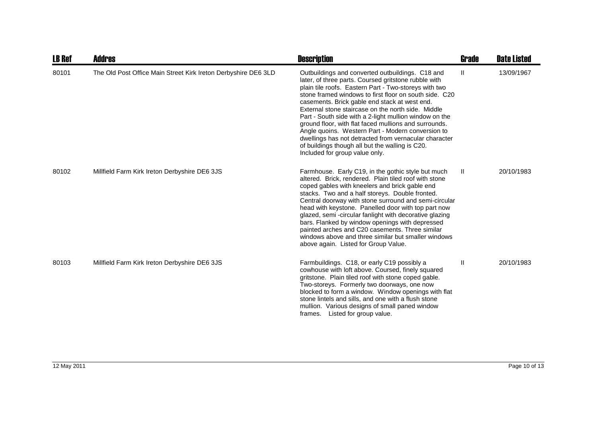| <b>LB Ref</b> | <b>Addres</b>                                                  | <b>Description</b>                                                                                                                                                                                                                                                                                                                                                                                                                                                                                                                                                                                                                                       | <b>Grade</b>  | <b>Date Listed</b> |
|---------------|----------------------------------------------------------------|----------------------------------------------------------------------------------------------------------------------------------------------------------------------------------------------------------------------------------------------------------------------------------------------------------------------------------------------------------------------------------------------------------------------------------------------------------------------------------------------------------------------------------------------------------------------------------------------------------------------------------------------------------|---------------|--------------------|
| 80101         | The Old Post Office Main Street Kirk Ireton Derbyshire DE6 3LD | Outbuildings and converted outbuildings. C18 and<br>later, of three parts. Coursed gritstone rubble with<br>plain tile roofs. Eastern Part - Two-storeys with two<br>stone framed windows to first floor on south side. C20<br>casements. Brick gable end stack at west end.<br>External stone staircase on the north side. Middle<br>Part - South side with a 2-light mullion window on the<br>ground floor, with flat faced mullions and surrounds.<br>Angle quoins. Western Part - Modern conversion to<br>dwellings has not detracted from vernacular character<br>of buildings though all but the walling is C20.<br>Included for group value only. | Ш             | 13/09/1967         |
| 80102         | Millfield Farm Kirk Ireton Derbyshire DE6 3JS                  | Farmhouse. Early C19, in the gothic style but much<br>altered. Brick, rendered. Plain tiled roof with stone<br>coped gables with kneelers and brick gable end<br>stacks. Two and a half storeys. Double fronted.<br>Central doorway with stone surround and semi-circular<br>head with keystone. Panelled door with top part now<br>glazed, semi-circular fanlight with decorative glazing<br>bars. Flanked by window openings with depressed<br>painted arches and C20 casements. Three similar<br>windows above and three similar but smaller windows<br>above again. Listed for Group Value.                                                          | $\mathbf{II}$ | 20/10/1983         |
| 80103         | Millfield Farm Kirk Ireton Derbyshire DE6 3JS                  | Farmbuildings. C18, or early C19 possibly a<br>cowhouse with loft above. Coursed, finely squared<br>gritstone. Plain tiled roof with stone coped gable.<br>Two-storeys. Formerly two doorways, one now<br>blocked to form a window. Window openings with flat<br>stone lintels and sills, and one with a flush stone<br>mullion. Various designs of small paned window<br>frames. Listed for group value.                                                                                                                                                                                                                                                | $\mathbf{I}$  | 20/10/1983         |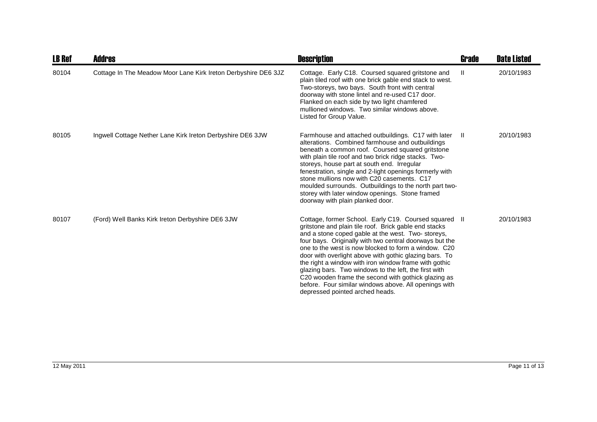| <b>LB Ref</b> | <b>Addres</b>                                                  | <b>Description</b>                                                                                                                                                                                                                                                                                                                                                                                                                                                                                                                                                                                                    | <b>Grade</b> | <b>Date Listed</b> |
|---------------|----------------------------------------------------------------|-----------------------------------------------------------------------------------------------------------------------------------------------------------------------------------------------------------------------------------------------------------------------------------------------------------------------------------------------------------------------------------------------------------------------------------------------------------------------------------------------------------------------------------------------------------------------------------------------------------------------|--------------|--------------------|
| 80104         | Cottage In The Meadow Moor Lane Kirk Ireton Derbyshire DE6 3JZ | Cottage. Early C18. Coursed squared gritstone and<br>plain tiled roof with one brick gable end stack to west.<br>Two-storeys, two bays. South front with central<br>doorway with stone lintel and re-used C17 door.<br>Flanked on each side by two light chamfered<br>mullioned windows. Two similar windows above.<br>Listed for Group Value.                                                                                                                                                                                                                                                                        | $\mathbf{H}$ | 20/10/1983         |
| 80105         | Ingwell Cottage Nether Lane Kirk Ireton Derbyshire DE6 3JW     | Farmhouse and attached outbuildings. C17 with later<br>alterations. Combined farmhouse and outbuildings<br>beneath a common roof. Coursed squared gritstone<br>with plain tile roof and two brick ridge stacks. Two-<br>storeys, house part at south end. Irregular<br>fenestration, single and 2-light openings formerly with<br>stone mullions now with C20 casements. C17<br>moulded surrounds. Outbuildings to the north part two-<br>storey with later window openings. Stone framed<br>doorway with plain planked door.                                                                                         | - 11         | 20/10/1983         |
| 80107         | (Ford) Well Banks Kirk Ireton Derbyshire DE6 3JW               | Cottage, former School. Early C19. Coursed squared II<br>gritstone and plain tile roof. Brick gable end stacks<br>and a stone coped gable at the west. Two-storeys,<br>four bays. Originally with two central doorways but the<br>one to the west is now blocked to form a window. C20<br>door with overlight above with gothic glazing bars. To<br>the right a window with iron window frame with gothic<br>glazing bars. Two windows to the left, the first with<br>C20 wooden frame the second with gothick glazing as<br>before. Four similar windows above. All openings with<br>depressed pointed arched heads. |              | 20/10/1983         |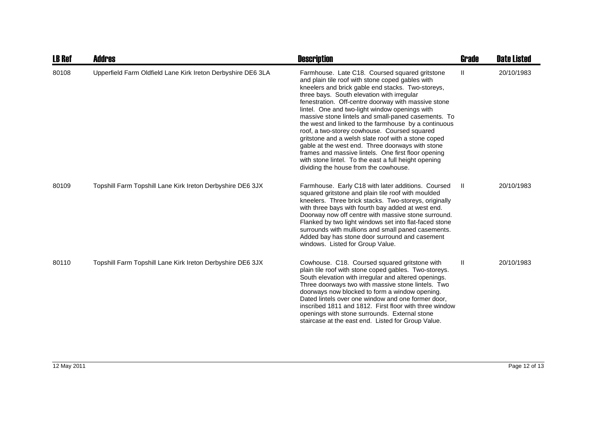| <b>LB Ref</b> | Addres                                                       | <b>Description</b>                                                                                                                                                                                                                                                                                                                                                                                                                                                                                                                                                                                                                                                                                                                               | <b>Grade</b> | <b>Date Listed</b> |
|---------------|--------------------------------------------------------------|--------------------------------------------------------------------------------------------------------------------------------------------------------------------------------------------------------------------------------------------------------------------------------------------------------------------------------------------------------------------------------------------------------------------------------------------------------------------------------------------------------------------------------------------------------------------------------------------------------------------------------------------------------------------------------------------------------------------------------------------------|--------------|--------------------|
| 80108         | Upperfield Farm Oldfield Lane Kirk Ireton Derbyshire DE6 3LA | Farmhouse. Late C18. Coursed squared gritstone<br>and plain tile roof with stone coped gables with<br>kneelers and brick gable end stacks. Two-storeys,<br>three bays. South elevation with irregular<br>fenestration. Off-centre doorway with massive stone<br>lintel. One and two-light window openings with<br>massive stone lintels and small-paned casements. To<br>the west and linked to the farmhouse by a continuous<br>roof, a two-storey cowhouse. Coursed squared<br>gritstone and a welsh slate roof with a stone coped<br>gable at the west end. Three doorways with stone<br>frames and massive lintels. One first floor opening<br>with stone lintel. To the east a full height opening<br>dividing the house from the cowhouse. | Ш            | 20/10/1983         |
| 80109         | Topshill Farm Topshill Lane Kirk Ireton Derbyshire DE6 3JX   | Farmhouse. Early C18 with later additions. Coursed<br>squared gritstone and plain tile roof with moulded<br>kneelers. Three brick stacks. Two-storeys, originally<br>with three bays with fourth bay added at west end.<br>Doorway now off centre with massive stone surround.<br>Flanked by two light windows set into flat-faced stone<br>surrounds with mullions and small paned casements.<br>Added bay has stone door surround and casement<br>windows. Listed for Group Value.                                                                                                                                                                                                                                                             | Ш            | 20/10/1983         |
| 80110         | Topshill Farm Topshill Lane Kirk Ireton Derbyshire DE6 3JX   | Cowhouse. C18. Coursed squared gritstone with<br>plain tile roof with stone coped gables. Two-storeys.<br>South elevation with irregular and altered openings.<br>Three doorways two with massive stone lintels. Two<br>doorways now blocked to form a window opening.<br>Dated lintels over one window and one former door,<br>inscribed 1811 and 1812. First floor with three window<br>openings with stone surrounds. External stone<br>staircase at the east end. Listed for Group Value.                                                                                                                                                                                                                                                    | $\mathbf{H}$ | 20/10/1983         |